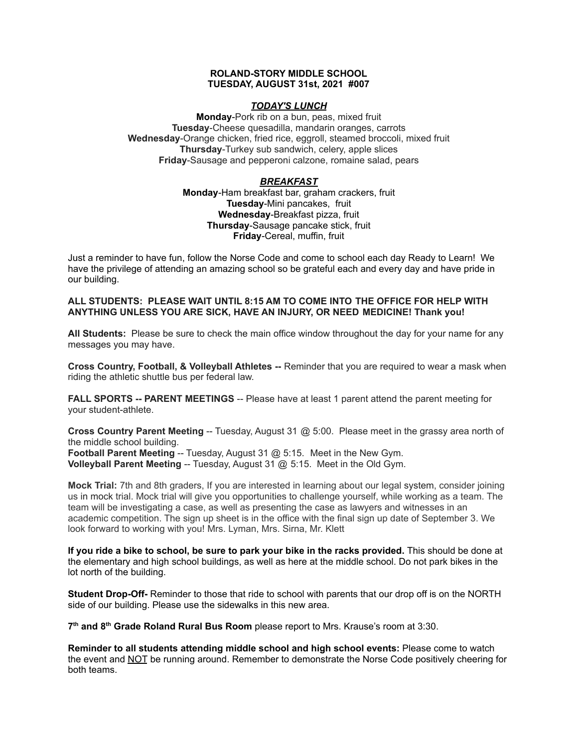## **ROLAND-STORY MIDDLE SCHOOL TUESDAY, AUGUST 31st, 2021 #007**

# *TODAY'S LUNCH*

**Monday**-Pork rib on a bun, peas, mixed fruit **Tuesday**-Cheese quesadilla, mandarin oranges, carrots **Wednesday**-Orange chicken, fried rice, eggroll, steamed broccoli, mixed fruit **Thursday**-Turkey sub sandwich, celery, apple slices **Friday**-Sausage and pepperoni calzone, romaine salad, pears

# *BREAKFAST*

**Monday**-Ham breakfast bar, graham crackers, fruit **Tuesday**-Mini pancakes, fruit **Wednesday**-Breakfast pizza, fruit **Thursday**-Sausage pancake stick, fruit **Friday**-Cereal, muffin, fruit

Just a reminder to have fun, follow the Norse Code and come to school each day Ready to Learn! We have the privilege of attending an amazing school so be grateful each and every day and have pride in our building.

# **ALL STUDENTS: PLEASE WAIT UNTIL 8:15 AM TO COME INTO THE OFFICE FOR HELP WITH ANYTHING UNLESS YOU ARE SICK, HAVE AN INJURY, OR NEED MEDICINE! Thank you!**

**All Students:** Please be sure to check the main office window throughout the day for your name for any messages you may have.

**Cross Country, Football, & Volleyball Athletes --** Reminder that you are required to wear a mask when riding the athletic shuttle bus per federal law.

**FALL SPORTS -- PARENT MEETINGS** -- Please have at least 1 parent attend the parent meeting for your student-athlete.

**Cross Country Parent Meeting** -- Tuesday, August 31 @ 5:00. Please meet in the grassy area north of the middle school building.

**Football Parent Meeting** -- Tuesday, August 31 @ 5:15. Meet in the New Gym. **Volleyball Parent Meeting** -- Tuesday, August 31 @ 5:15. Meet in the Old Gym.

**Mock Trial:** 7th and 8th graders, If you are interested in learning about our legal system, consider joining us in mock trial. Mock trial will give you opportunities to challenge yourself, while working as a team. The team will be investigating a case, as well as presenting the case as lawyers and witnesses in an academic competition. The sign up sheet is in the office with the final sign up date of September 3. We look forward to working with you! Mrs. Lyman, Mrs. Sirna, Mr. Klett

**If you ride a bike to school, be sure to park your bike in the racks provided.** This should be done at the elementary and high school buildings, as well as here at the middle school. Do not park bikes in the lot north of the building.

**Student Drop-Off-** Reminder to those that ride to school with parents that our drop off is on the NORTH side of our building. Please use the sidewalks in this new area.

**7 th and 8 th Grade Roland Rural Bus Room** please report to Mrs. Krause's room at 3:30.

**Reminder to all students attending middle school and high school events:** Please come to watch the event and NOT be running around. Remember to demonstrate the Norse Code positively cheering for both teams.